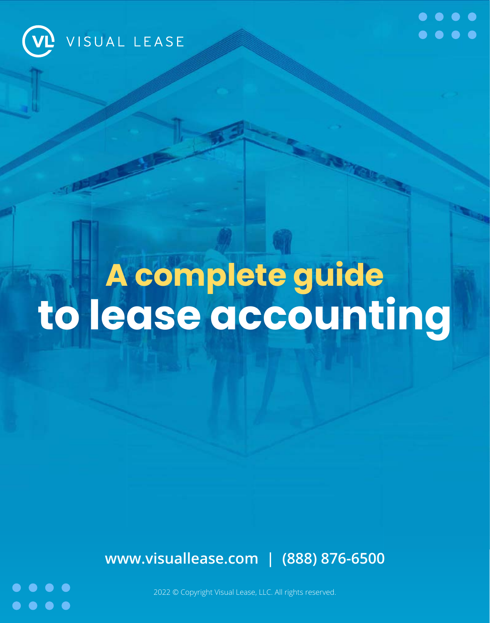



# **A complete guide to lease accounting**

**[www.visuallease.com](https://visuallease.com) | (888) 876-6500**



2022 © Copyright Visual Lease, LLC. All rights reserved.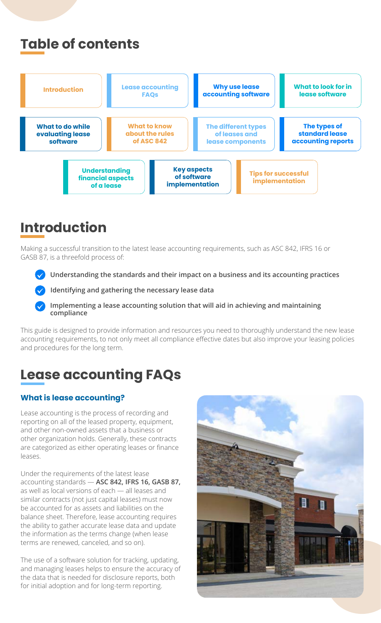### **Introduction**

Making a successful transition to the latest lease accounting requirements, such as ASC 842, IFRS 16 or GASB 87, is a threefold process of:

- **Understanding the standards and their impact on a business and its accounting practices**
- **Identifying and gathering the necessary lease data**
- **Implementing a lease accounting solution that will aid in achieving and maintaining compliance**

This guide is designed to provide information and resources you need to thoroughly understand the new lease accounting requirements, to not only meet all compliance effective dates but also improve your leasing policies and procedures for the long term.

Lease accounting is the process of recording and reporting on all of the leased property, equipment, and other non-owned assets that a business or other organization holds. Generally, these contracts are categorized as either operating leases or finance leases.





Under the requirements of the latest lease accounting standards - ASC 842, IFRS 16, GASB 87, as well as local versions of each — all leases and similar contracts (not just capital leases) must now be accounted for as assets and liabilities on the balance sheet. Therefore, lease accounting requires the ability to gather accurate lease data and update the information as the terms change (when lease terms are renewed, canceled, and so on).

The use of a software solution for tracking, updating, and managing leases helps to ensure the accuracy of the data that is needed for disclosure reports, both for initial adoption and for long-term reporting.

### **Table of contents**

## **Lease accounting FAQs**

#### **What is lease accounting?**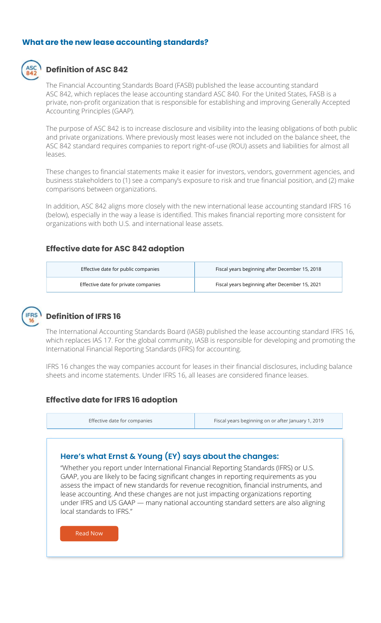The purpose of ASC 842 is to increase disclosure and visibility into the leasing obligations of both public and private organizations. Where previously most leases were not included on the balance sheet, the ASC 842 standard requires companies to report right-of-use (ROU) assets and liabilities for almost all leases.

These changes to financial statements make it easier for investors, vendors, government agencies, and business stakeholders to (1) see a company's exposure to risk and true financial position, and (2) make comparisons between organizations.

In addition, ASC 842 aligns more closely with the new international lease accounting standard IFRS 16 (below), especially in the way a lease is identified. This makes financial reporting more consistent for organizations with both U.S. and international lease assets.

#### **What are the new lease accounting standards?**



"Whether you report under International Financial Reporting Standards (IFRS) or U.S. SAAP, you are likely to be facing significant changes in reporting requirements as you assess the impact of new standards for revenue recognition, financial instruments, and lease accounting. And these changes are not just impacting organizations reporting under IFRS and US GAAP — many national accounting standard setters are also aligning local standards to IFRS."

### **Definition of ASC 842**

The Financial Accounting Standards Board (FASB) published the lease accounting standard ASC 842, which replaces the lease accounting standard ASC 840. For the United States, FASB is a private, non-profit organization that is responsible for establishing and improving Generally Accepted Accounting Principles (GAAP).

#### **Effective date for ASC 842 adoption**

| Effective date for public companies  | Fiscal years beginning after December 15, 2018 |
|--------------------------------------|------------------------------------------------|
| Effective date for private companies | Fiscal years beginning after December 15, 2021 |



#### **Here's what Ernst & Young (EY) says about the changes:**

### **Definition of IFRS 16**

The International Accounting Standards Board (IASB) published the lease accounting standard IFRS 16, which replaces IAS 17. For the global community, IASB is responsible for developing and promoting the International Financial Reporting Standards (IFRS) for accounting.

IFRS 16 changes the way companies account for leases in their financial disclosures, including balance sheets and income statements. Under IFRS 16, all leases are considered finance leases.

#### **Effective date for IFRS 16 adoption**

[Read Now](https://www.ey.com/en_gl/accounting-change)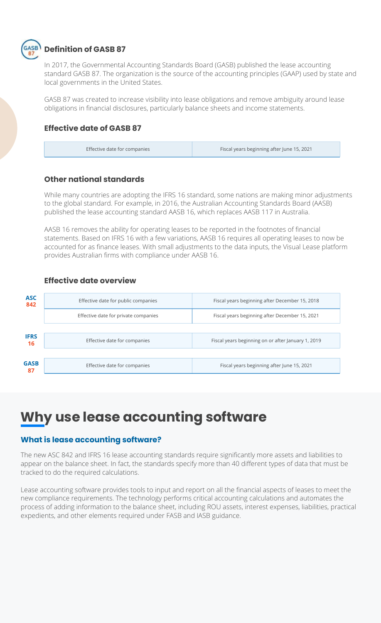In 2017, the Governmental Accounting Standards Board (GASB) published the lease accounting standard GASB 87. The organization is the source of the accounting principles (GAAP) used by state and local governments in the United States.

GASB 87 was created to increase visibility into lease obligations and remove ambiguity around lease obligations in financial disclosures, particularly balance sheets and income statements.



#### **Effective date of GASB 87**

Effective date for companies **Effective date for companies**  $\vert$  Fiscal years beginning after June 15, 2021

The new ASC 842 and IFRS 16 lease accounting standards require significantly more assets and liabilities to appear on the balance sheet. In fact, the standards specify more than 40 different types of data that must be tracked to do the required calculations.

Lease accounting software provides tools to input and report on all the financial aspects of leases to meet the new compliance requirements. The technology performs critical accounting calculations and automates the process of adding information to the balance sheet, including ROU assets, interest expenses, liabilities, practical expedients, and other elements required under FASB and IASB guidance.

| <b>ASC</b><br>842  | Effective date for public companies  | Fiscal years beginning after December 15, 2018     |
|--------------------|--------------------------------------|----------------------------------------------------|
|                    | Effective date for private companies | Fiscal years beginning after December 15, 2021     |
|                    |                                      |                                                    |
| <b>IFRS</b><br>16  | Effective date for companies         | Fiscal years beginning on or after January 1, 2019 |
|                    |                                      |                                                    |
| <b>GASB</b><br>-87 | Effective date for companies         | Fiscal years beginning after June 15, 2021         |

#### **Other national standards**

While many countries are adopting the IFRS 16 standard, some nations are making minor adjustments to the global standard. For example, in 2016, the Australian Accounting Standards Board (AASB) published the lease accounting standard AASB 16, which replaces AASB 117 in Australia.

AASB 16 removes the ability for operating leases to be reported in the footnotes of financial statements. Based on IFRS 16 with a few variations, AASB 16 requires all operating leases to now be accounted for as finance leases. With small adjustments to the data inputs, the Visual Lease platform provides Australian firms with compliance under AASB 16.

#### **Effective date overview**

## **Why use lease accounting software**

#### **What is lease accounting software?**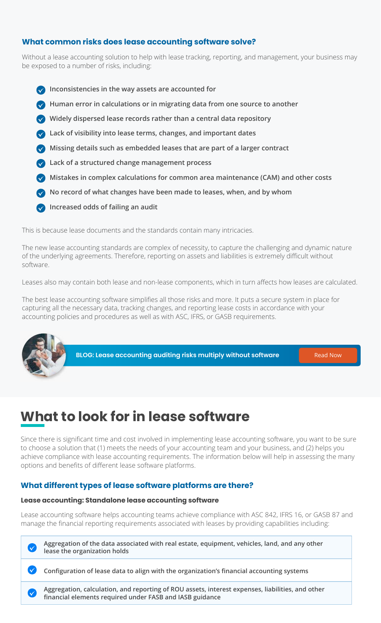Without a lease accounting solution to help with lease tracking, reporting, and management, your business may be exposed to a number of risks, including:

- **Inconsistencies in the way assets are accounted for**
- *M* **Human error in calculations or in migrating data from one source to another**
- **Widely dispersed lease records rather than a central data repository**
- **Lack of visibility into lease terms, changes, and important dates**
- **Missing details such as embedded leases that are part of a larger contract**
- **Lack of a structured change management process**
- **Mistakes in complex calculations for common area maintenance (CAM) and other costs**
- **No record of what changes have been made to leases, when, and by whom**
- *M* Increased odds of failing an audit

This is because lease documents and the standards contain many intricacies.

The new lease accounting standards are complex of necessity, to capture the challenging and dynamic nature of the underlying agreements. Therefore, reporting on assets and liabilities is extremely difficult without software.

Leases also may contain both lease and non-lease components, which in turn affects how leases are calculated.

The best lease accounting software simplifies all those risks and more. It puts a secure system in place for capturing all the necessary data, tracking changes, and reporting lease costs in accordance with your accounting policies and procedures as well as with ASC, IFRS, or GASB requirements.



**BLOG: Lease accounting auditing risks multiply without software** [Read Now](https://visuallease.com/lease-accounting-auditing-risks-multiply-without-software/)

#### **What common risks does lease accounting software solve?**

Since there is significant time and cost involved in implementing lease accounting software, you want to be sure to choose a solution that (1) meets the needs of your accounting team and your business, and (2) helps you achieve compliance with lease accounting requirements. The information below will help in assessing the many options and benefits of different lease software platforms.

### **What to look for in lease software**

#### **What different types of lease software platforms are there?**

Lease accounting software helps accounting teams achieve compliance with ASC 842, IFRS 16, or GASB 87 and manage the financial reporting requirements associated with leases by providing capabilities including:



#### **Lease accounting: Standalone lease accounting software**

**Aggregation of the data associated with real estate, equipment, vehicles, land, and any other lease the organization holds**

**Configuration of lease data to align with the organization's financial accounting systems**



 $\checkmark$ 

**Aggregation, calculation, and reporting of ROU assets, interest expenses, liabilities, and other financial elements required under FASB and IASB guidance**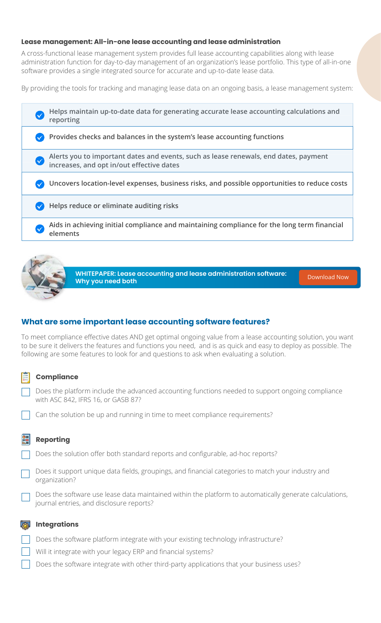A cross-functional lease management system provides full lease accounting capabilities along with lease administration function for day-to-day management of an organization's lease portfolio. This type of all-in-one software provides a single integrated source for accurate and up-to-date lease data.

By providing the tools for tracking and managing lease data on an ongoing basis, a lease management system:

| Helps maintain up-to-date data for generating accurate lease accounting calculations and<br>reporting                             |
|-----------------------------------------------------------------------------------------------------------------------------------|
| Provides checks and balances in the system's lease accounting functions                                                           |
| Alerts you to important dates and events, such as lease renewals, end dates, payment<br>increases, and opt in/out effective dates |
| Uncovers location-level expenses, business risks, and possible opportunities to reduce costs                                      |
| Helps reduce or eliminate auditing risks                                                                                          |
| Aids in achieving initial compliance and maintaining compliance for the long term financial<br>elements                           |
|                                                                                                                                   |



To meet compliance effective dates AND get optimal ongoing value from a lease accounting solution, you want to be sure it delivers the features and functions you need, and is as quick and easy to deploy as possible. The following are some features to look for and questions to ask when evaluating a solution.

Does the platform include the advanced accounting functions needed to support ongoing compliance with ASC 842, IFRS 16, or GASB 87?

#### **Lease management: All-in-one lease accounting and lease administration**

**WHITEPAPER: Lease accounting and lease administration software: Why you need both** [Download Now](https://engage.visuallease.com/content/lease-admin-and-lease-accounting)

#### **What are some important lease accounting software features?**

#### **Compliance**

#### **Reporting**

- Does the solution offer both standard reports and configurable, ad-hoc reports?
- Does it support unique data fields, groupings, and financial categories to match your industry and organization?
- Does the software use lease data maintained within the platform to automatically generate calculations, journal entries, and disclosure reports?

#### **Integrations**

- Does the software platform integrate with your existing technology infrastructure?
- 
- Will it integrate with your legacy ERP and financial systems?
- Does the software integrate with other third-party applications that your business uses?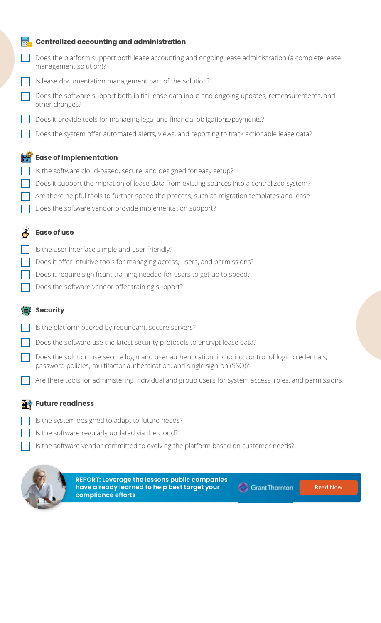- Is the user interface simple and user friendly?
- Does it offer intuitive tools for managing access, users, and permissions?
- Does it require significant training needed for users to get up to speed?
- Does the software vendor offer training support?

#### **Centralized accounting and administration**

- Does the platform support both lease accounting and ongoing lease administration (a complete lease management solution)?
	- Is lease documentation management part of the solution?
	- Does the software support both initial lease data input and ongoing updates, remeasurements, and other changes?
	- Does it provide tools for managing legal and financial obligations/payments?
	- Does the system offer automated alerts, views, and reporting to track actionable lease data?



**EXE** 

- Is the platform backed by redundant, secure servers?
- Does the software use the latest security protocols to encrypt lease data?
- Does the solution use secure login and user authentication, including control of login credentials, password policies, multifactor authentication, and single sign-on (SSO)?
- Are there tools for administering individual and group users for system access, roles, and permissions?

#### **Ease of implementation**

- Is the software cloud-based, secure, and designed for easy setup?
- Does it support the migration of lease data from existing sources into a centralized system?
- Are there helpful tools to further speed the process, such as migration templates and lease
- Does the software vendor provide implementation support?



#### ER ⊘ **Future readiness**

#### **Ease of use**

#### **Security**

Is the system designed to adapt to future needs? Is the software regularly updated via the cloud?

Is the software vendor committed to evolving the platform based on customer needs?



**REPORT: Leverage the lessons public companies have already learned to help best target your compliance efforts**



[Read Now](https://www.grantthornton.com/solutions/lease-accounting.aspx)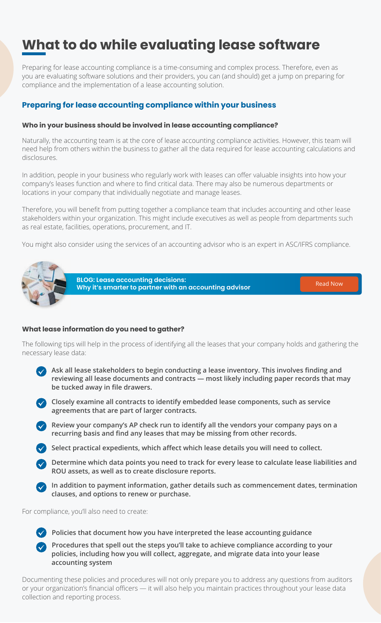Preparing for lease accounting compliance is a time-consuming and complex process. Therefore, even as you are evaluating software solutions and their providers, you can (and should) get a jump on preparing for compliance and the implementation of a lease accounting solution.

Naturally, the accounting team is at the core of lease accounting compliance activities. However, this team will need help from others within the business to gather all the data required for lease accounting calculations and disclosures.

In addition, people in your business who regularly work with leases can offer valuable insights into how your companyȇs leases function and where to find critical data. There may also be numerous departments or locations in your company that individually negotiate and manage leases.

Therefore, you will benefit from putting together a compliance team that includes accounting and other lease stakeholders within your organization. This might include executives as well as people from departments such as real estate, facilities, operations, procurement, and IT.

You might also consider using the services of an accounting advisor who is an expert in ASC/IFRS compliance.



- **Ask all lease stakeholders to begin conducting a lease inventory. This involves finding and reviewing all lease documents and contracts — most likely including paper records that may be tucked away in file drawers.**
- **Closely examine all contracts to identify embedded lease components, such as service agreements that are part of larger contracts.**
- **EX** Review your company's AP check run to identify all the vendors your company pays on a recurring basis and find any leases that may be missing from other records.
	- **Select practical expedients, which affect which lease details you will need to collect.**
	- **Determine which data points you need to track for every lease to calculate lease liabilities and ROU assets, as well as to create disclosure reports.**
	-
- **EX** In addition to payment information, gather details such as commencement dates, termination  **clauses, and options to renew or purchase.**

For compliance, you'll also need to create:

## **What to do while evaluating lease software**

#### **Preparing for lease accounting compliance within your business**

#### **Who in your business should be involved in lease accounting compliance?**

The following tips will help in the process of identifying all the leases that your company holds and gathering the necessary lease data:



Documenting these policies and procedures will not only prepare you to address any questions from auditors or your organization's financial officers - it will also help you maintain practices throughout your lease data collection and reporting process.

**BLOG: Lease accounting decisions: Why it's smarter to partner with an accounting advisor [Read Now](https://visuallease.com/lease-accounting-decisions-partner-with-an-accounting-adviser/) Read Now** 

- **Policies that document how you have interpreted the lease accounting guidance**
- **Procedures that spell out the steps you'll take to achieve compliance according to your policies, including how you will collect, aggregate, and migrate data into your lease accounting system**

#### **What lease information do you need to gather?**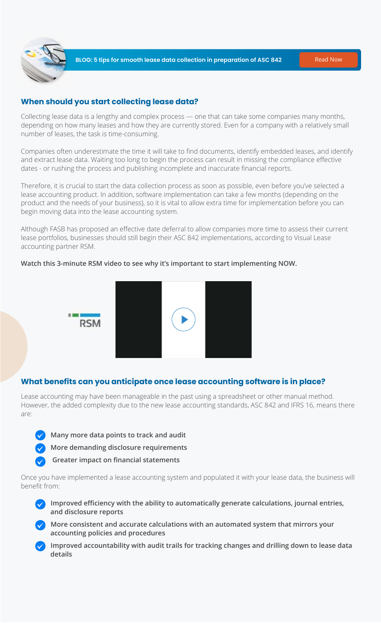

Collecting lease data is a lengthy and complex process — one that can take some companies many months, depending on how many leases and how they are currently stored. Even for a company with a relatively small number of leases, the task is time-consuming.

&ompanies often underestimate the time it will take to find documents, identify embedded leases, and identify and extract lease data. Waiting too long to begin the process can result in missing the compliance effective dates - or rushing the process and publishing incomplete and inaccurate financial reports.

Therefore, it is crucial to start the data collection process as soon as possible, even before you've selected a lease accounting product. In addition, software implementation can take a few months (depending on the product and the needs of your business), so it is vital to allow extra time for implementation before you can begin moving data into the lease accounting system.

Although FASB has proposed an effective date deferral to allow companies more time to assess their current lease portfolios, businesses should still begin their ASC 842 implementations, according to Visual Lease accounting partner RSM.

#### **Watch this 3-minute RSM video to see why it's important to start implementing NOW.**



 **Many more data points to track and audit More demanding disclosure requirements Greater impact on financial statements** 

- *M* **Improved efficiency with the ability to automatically generate calculations, journal entries, and disclosure reports**
- **More consistent and accurate calculations with an automated system that mirrors your accounting policies and procedures**
- **Improved accountability with audit trails for tracking changes and drilling down to lease data details**

#### **When should you start collecting lease data?**

Lease accounting may have been manageable in the past using a spreadsheet or other manual method. However, the added complexity due to the new lease accounting standards, ASC 842 and IFRS 16, means there are:



2nce you have implemented a lease accounting system and populated it with your lease data, the business will benefit from:

#### **What benefits can you anticipate once lease accounting software is in place?**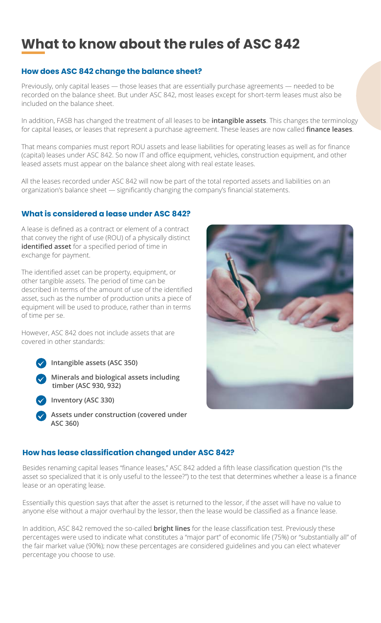A lease is defined as a contract or element of a contract that convey the right of use (ROU) of a physically distinct **identified asset** for a specified period of time in exchange for payment.

However, ASC 842 does not include assets that are covered in other standards:



The identified asset can be property, equipment, or other tangible assets. The period of time can be described in terms of the amount of use of the identified asset, such as the number of production units a piece of equipment will be used to produce, rather than in terms of time per se.

Previously, only capital leases - those leases that are essentially purchase agreements - needed to be recorded on the balance sheet. But under ASC 842, most leases except for short-term leases must also be included on the balance sheet.

 **Intangible assets (ASC 350)**

 **Minerals and biological assets including timber (ASC 930, 932)**



In addition, FASB has changed the treatment of all leases to be **intangible assets**. This changes the terminology for capital leases, or leases that represent a purchase agreement. These leases are now called **finance leases**.

 **Inventory (ASC 330)**

 **Assets under construction (covered under ASC 360)**



#### **What is considered a lease under ASC 842?**

That means companies must report ROU assets and lease liabilities for operating leases as well as for finance (capital) leases under ASC 842. So now IT and office equipment, vehicles, construction equipment, and other leased assets must appear on the balance sheet along with real estate leases.

All the leases recorded under ASC 842 will now be part of the total reported assets and liabilities on an organization's balance sheet - significantly changing the company's financial statements.

## **What to know about the rules of ASC 842**

Besides renaming capital leases "finance leases," ASC 842 added a fifth lease classification question ("Is the asset so specialized that it is only useful to the lessee?") to the test that determines whether a lease is a finance lease or an operating lease.

Essentially this question says that after the asset is returned to the lessor, if the asset will have no value to anyone else without a major overhaul by the lessor, then the lease would be classified as a finance lease.

#### **How does ASC 842 change the balance sheet?**

In addition, ASC 842 removed the so-called **bright lines** for the lease classification test. 3reviously these percentages were used to indicate what constitutes a "major part" of economic life (75%) or "substantially all" of the fair market value (90%); now these percentages are considered guidelines and you can elect whatever percentage you choose to use.

#### **How has lease classification changed under ASC 842?**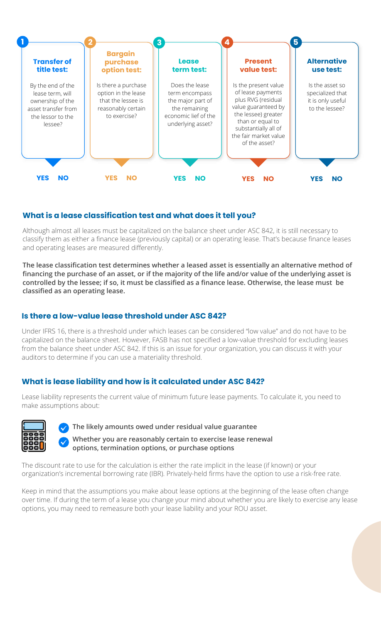Under IFRS 16, there is a threshold under which leases can be considered "low value" and do not have to be capitalized on the balance sheet. However, FASB has not specified a low-value threshold for excluding leases from the balance sheet under ASC 842. If this is an issue for your organization, you can discuss it with your auditors to determine if you can use a materiality threshold.

 **Whether you are reasonably certain to exercise lease renewal and**  $\blacksquare$  **options, termination options, or purchase options**

The discount rate to use for the calculation is either the rate implicit in the lease (if known) or your organization's incremental borrowing rate (IBR). Privately-held firms have the option to use a risk-free rate.

Keep in mind that the assumptions you make about lease options at the beginning of the lease often change over time. If during the term of a lease you change your mind about whether you are likely to exercise any lease options, you may need to remeasure both your lease liability and your ROU asset.

#### **Is there a low-value lease threshold under ASC 842?**

Lease liability represents the current value of minimum future lease payments. To calculate it, you need to make assumptions about:



 **The likely amounts owed under residual value guarantee**



Although almost all leases must be capitalized on the balance sheet under ASC 842, it is still necessary to classify them as either a finance lease (previously capital) or an operating lease. That's because finance leases and operating leases are measured differently.

The lease classification test determines whether a leased asset is essentially an alternative method of financing the purchase of an asset, or if the majority of the life and/or value of the underlying asset is controlled by the lessee; if so, it must be classified as a finance lease. Otherwise, the lease must be **classified as an operating lease.** 

#### **What is lease liability and how is it calculated under ASC 842?**



#### **What is a lease classification test and what does it tell you?**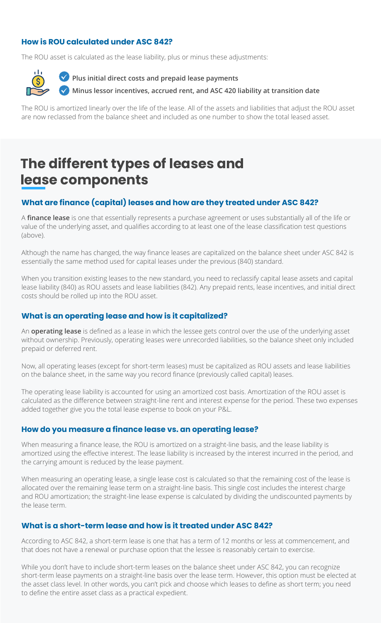#### **Plus initial direct costs and prepaid lease payments**

 **Minus lessor incentives, accrued rent, and ASC 420 liability at transition date**

The ROU is amortized linearly over the life of the lease. All of the assets and liabilities that adjust the ROU asset are now reclassed from the balance sheet and included as one number to show the total leased asset.

#### **How is ROU calculated under ASC 842?**

The ROU asset is calculated as the lease liability, plus or minus these adjustments:



When you transition existing leases to the new standard, you need to reclassify capital lease assets and capital lease liability (840) as ROU assets and lease liabilities (842). Any prepaid rents, lease incentives, and initial direct costs should be rolled up into the ROU asset.

#### **What are finance (capital) leases and how are they treated under ASC 842?**

A **finance lease** is one that essentially represents a purchase agreement or uses substantially all of the life or value of the underlying asset, and qualifies according to at least one of the lease classification test questions (above).

Although the name has changed, the way finance leases are capitalized on the balance sheet under ASC 842 is essentially the same method used for capital leases under the previous (840) standard.

Now, all operating leases (except for short-term leases) must be capitalized as ROU assets and lease liabilities on the balance sheet, in the same way you record finance (previously called capital) leases.

The operating lease liability is accounted for using an amortized cost basis. Amortization of the ROU asset is calculated as the difference between straight-line rent and interest expense for the period. These two expenses added together give you the total lease expense to book on your P&L.

When measuring a finance lease, the ROU is amortized on a straight-line basis, and the lease liability is amortized using the effective interest. The lease liability is increased by the interest incurred in the period, and the carrying amount is reduced by the lease payment.

#### **What is an operating lease and how is it capitalized?**

An **operating lease** is defined as a lease in which the lessee gets control over the use of the underlying asset without ownership. Previously, operating leases were unrecorded liabilities, so the balance sheet only included prepaid or deferred rent.

While you don't have to include short-term leases on the balance sheet under ASC 842, you can recognize short-term lease payments on a straight-line basis over the lease term. However, this option must be elected at the asset class level. In other words, you can't pick and choose which leases to define as short term; you need to define the entire asset class as a practical expedient.

#### **How do you measure a finance lease vs. an operating lease?**

When measuring an operating lease, a single lease cost is calculated so that the remaining cost of the lease is allocated over the remaining lease term on a straight-line basis. This single cost includes the interest charge and ROU amortization; the straight-line lease expense is calculated by dividing the undiscounted payments by the lease term.

#### **What is a short-term lease and how is it treated under ASC 842?**

According to ASC 842, a short-term lease is one that has a term of 12 months or less at commencement, and that does not have a renewal or purchase option that the lessee is reasonably certain to exercise.

### **The different types of leases and lease components**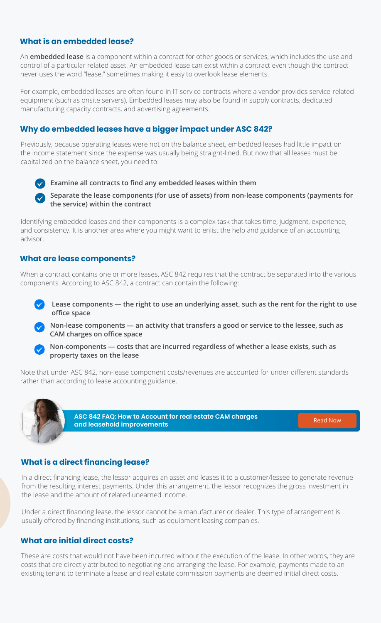#### **What is an embedded lease?**

An **embedded lease** is a component within a contract for other goods or services, which includes the use and control of a particular related asset. An embedded lease can exist within a contract even though the contract never uses the word "lease," sometimes making it easy to overlook lease elements.

For example, embedded leases are often found in IT service contracts where a vendor provides service-related equipment (such as onsite servers). Embedded leases may also be found in supply contracts, dedicated manufacturing capacity contracts, and advertising agreements.

**Separate the lease components (for use of assets) from non-lease components (payments for the service) within the contract**

#### **Why do embedded leases have a bigger impact under ASC 842?**

Previously, because operating leases were not on the balance sheet, embedded leases had little impact on the income statement since the expense was usually being straight-lined. But now that all leases must be capitalized on the balance sheet, you need to:

#### **(v)** Examine all contracts to find any embedded leases within them

Identifying embedded leases and their components is a complex task that takes time, judgment, experience, and consistency. It is another area where you might want to enlist the help and guidance of an accounting advisor.

When a contract contains one or more leases, ASC 842 requires that the contract be separated into the various components. According to ASC 842, a contract can contain the following:

Note that under ASC 842, non-lease component costs/revenues are accounted for under different standards rather than according to lease accounting guidance.



In a direct financing lease, the lessor acquires an asset and leases it to a customer/lessee to generate revenue from the resulting interest payments. Under this arrangement, the lessor recognizes the gross investment in the lease and the amount of related unearned income.

Under a direct financing lease, the lessor cannot be a manufacturer or dealer. This type of arrangement is usually offered by financing institutions, such as equipment leasing companies.

#### **What are lease components?**



- **Lease components the right to use an underlying asset, such as the rent for the right to use office space**
- **Non-lease components an activity that transfers a good or service to the lessee, such as CAM charges on office space**
- **Non-components costs that are incurred regardless of whether a lease exists, such as property taxes on the lease**

#### **What is a direct financing lease?**

#### **What are initial direct costs?**

These are costs that would not have been incurred without the execution of the lease. In other words, they are costs that are directly attributed to negotiating and arranging the lease. For example, payments made to an existing tenant to terminate a lease and real estate commission payments are deemed initial direct costs.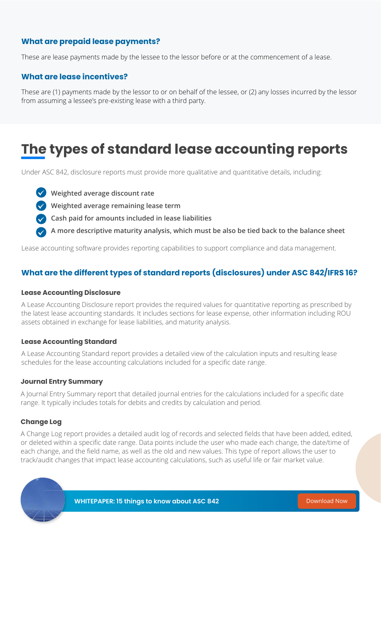#### **What are prepaid lease payments?**

These are lease payments made by the lessee to the lessor before or at the commencement of a lease.

These are (1) payments made by the lessor to or on behalf of the lessee, or (2) any losses incurred by the lessor from assuming a lessee's pre-existing lease with a third party.

#### **What are lease incentives?**

#### **What are the different types of standard reports (disclosures) under ASC 842/IFRS 16?**

### **The types of standard lease accounting reports**

Under ASC 842, disclosure reports must provide more qualitative and quantitative details, including:

A Lease Accounting Disclosure report provides the required values for quantitative reporting as prescribed by the latest lease accounting standards. It includes sections for lease expense, other information including ROU assets obtained in exchange for lease liabilities, and maturity analysis.

- **Weighted average discount rate**
- **Weighted average remaining lease term**
- **Cash paid for amounts included in lease liabilities**
- **A more descriptive maturity analysis, which must be also be tied back to the balance sheet**

A Journal Entry Summary report that detailed journal entries for the calculations included for a specific date range. It typically includes totals for debits and credits by calculation and period.

Lease accounting software provides reporting capabilities to support compliance and data management.

#### **Lease Accounting Disclosure**

A Lease Accounting Standard report provides a detailed view of the calculation inputs and resulting lease schedules for the lease accounting calculations included for a specific date range.

#### **Lease Accounting Standard**

#### **Journal Entry Summary**

#### **Change Log**

A Change Log report provides a detailed audit log of records and selected fields that have been added, edited, or deleted within a specific date range. Data points include the user who made each change, the date/time of each change, and the field name, as well as the old and new values. This type of report allows the user to track/audit changes that impact lease accounting calculations, such as useful life or fair market value.

### **WHITEPAPER: 15 things to know about ASC 842** [Download Now](https://engage.visuallease.com/content/15-things-you-need-to-know-about-asc-842-in-2021)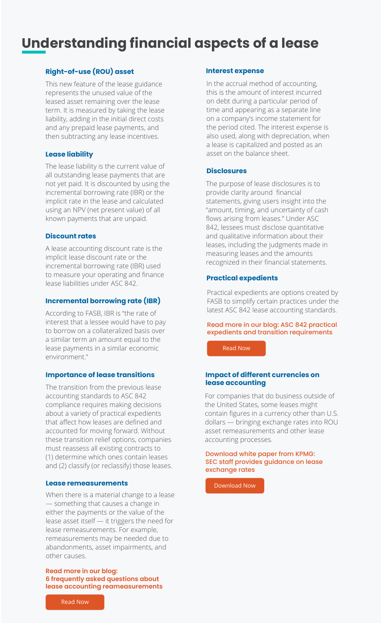### **Understanding financial aspects of a lease**

This new feature of the lease guidance represents the unused value of the leased asset remaining over the lease term. It is measured by taking the lease liability, adding in the initial direct costs and any prepaid lease payments, and then subtracting any lease incentives.

#### **Right-of-use (ROU) asset**

The lease liability is the current value of all outstanding lease payments that are not yet paid. It is discounted by using the incremental borrowing rate (IBR) or the implicit rate in the lease and calculated using an NPV (net present value) of all known payments that are unpaid.

#### **Lease liability**

A lease accounting discount rate is the implicit lease discount rate or the incremental borrowing rate (IBR) used to measure your operating and finance lease liabilities under ASC 842.

#### **Discount rates**

According to FASB, IBR is "the rate of interest that a lessee would have to pay to borrow on a collateralized basis over a similar term an amount equal to the lease payments in a similar economic environment."

#### **Incremental borrowing rate (IBR)**

In the accrual method of accounting, this is the amount of interest incurred on debt during a particular period of time and appearing as a separate line on a company's income statement for the period cited. The interest expense is also used, along with depreciation, when a lease is capitalized and posted as an asset on the balance sheet.

#### **Interest expense**

The purpose of lease disclosures is to provide clarity around financial statements, giving users insight into the "amount, timing, and uncertainty of cash flows arising from leases." Under ASC 842, lessees must disclose quantitative and qualitative information about their leases, including the judgments made in measuring leases and the amounts recognized in their financial statements.

#### **Disclosures**

Practical expedients are options created by FASB to simplify certain practices under the latest ASC 842 lease accounting standards.

#### **Practical expedients**

#### Read more in our blog: ASC 842 practical expedients and transition requirements

[Read Now](https://visuallease.com/asc-842-practical-expedients-and-transition-requirements/)

When there is a material change to a lease — something that causes a change in either the payments or the value of the lease asset itself — it triggers the need for lease remeasurements. For example, remeasurements may be needed due to abandonments, asset impairments, and other causes.

#### **Lease remeasurements**

#### **Read more in our blog: 6 frequently asked questions about lease accounting reameasurements**



The transition from the previous lease accounting standards to ASC 842 compliance requires making decisions about a variety of practical expedients that affect how leases are defined and accounted for moving forward. Without these transition relief options, companies must reassess all existing contracts to (1) determine which ones contain leases and (2) classify (or reclassify) those leases.

#### **Importance of lease transitions**

For companies that do business outside of the United States, some leases might contain figures in a currency other than U.S. dollars — bringing exchange rates into ROU asset remeasurements and other lease accounting processes.

#### **Impact of different currencies on lease accounting**

#### Download white paper from KPMG: SEC staff provides guidance on lease exchange rates

[Download Now](https://frv.kpmg.us/reference-library/2018/di-18-30-fasb-proposes-changes-lessor-accounting.html)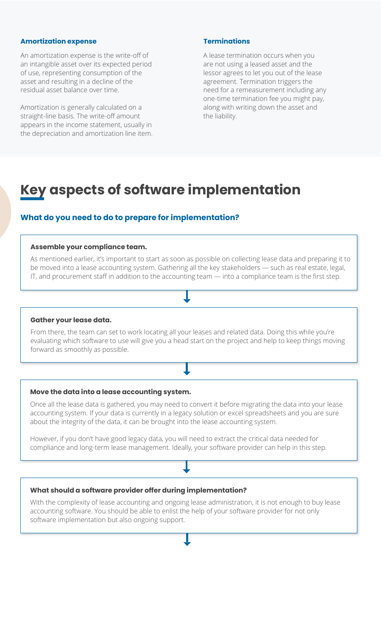An amortization expense is the write-off of an intangible asset over its expected period of use, representing consumption of the asset and resulting in a decline of the residual asset balance over time.

Amortization is generally calculated on a straight-line basis. The write-off amount appears in the income statement, usually in the depreciation and amortization line item.

#### **Amortization expense**

A lease termination occurs when you are not using a leased asset and the lessor agrees to let you out of the lease agreement. Termination triggers the need for a remeasurement including any one-time termination fee you might pay, along with writing down the asset and the liability.

From there, the team can set to work locating all your leases and related data. Doing this while you're evaluating which software to use will give you a head start on the project and help to keep things moving forward as smoothly as possible.

#### **Terminations**

However, if you don't have good legacy data, you will need to extract the critical data needed for compliance and long-term lease management. Ideally, your software provider can help in this step.

#### **Assemble your compliance team.**

As mentioned earlier, it's important to start as soon as possible on collecting lease data and preparing it to be moved into a lease accounting system. Gathering all the key stakeholders - such as real estate, legal, IT, and procurement staff in addition to the accounting team — into a compliance team is the first step.

#### **Gather your lease data.**

### **Key aspects of software implementation**

#### **What do you need to do to prepare for implementation?**

2nce all the lease data is gathered, you may need to convert it before migrating the data into your lease accounting system. If your data is currently in a legacy solution or excel spreadsheets and you are sure about the integrity of the data, it can be brought into the lease accounting system.

#### **Move the data into a lease accounting system.**

With the complexity of lease accounting and ongoing lease administration, it is not enough to buy lease accounting software. You should be able to enlist the help of your software provider for not only software implementation but also ongoing support.

#### **What should a software provider offer during implementation?**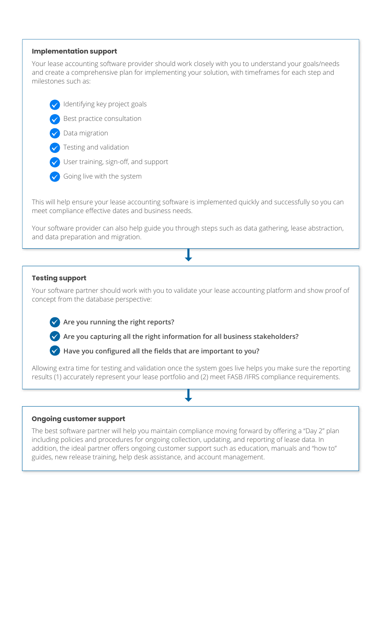Your software partner should work with you to validate your lease accounting platform and show proof of concept from the database perspective:



 $\blacktriangledown$  Are you capturing all the right information for all business stakeholders?



 $\blacktriangledown$  Have you configured all the fields that are important to you?

Allowing extra time for testing and validation once the system goes live helps you make sure the reporting results (1) accurately represent your lease portfolio and (2) meet FASB /IFRS compliance requirements.

Your lease accounting software provider should work closely with you to understand your goals/needs and create a comprehensive plan for implementing your solution, with timeframes for each step and milestones such as:

- Identifying key project goals
- Best practice consultation

#### **Testing support**

Your software provider can also help guide you through steps such as data gathering, lease abstraction, and data preparation and migration.



- Testing and validation
- User training, sign-off, and support
- Going live with the system

The best software partner will help you maintain compliance moving forward by offering a "Day 2" plan including policies and procedures for ongoing collection, updating, and reporting of lease data. In addition, the ideal partner offers ongoing customer support such as education, manuals and "how to" guides, new release training, help desk assistance, and account management.

This will help ensure your lease accounting software is implemented quickly and successfully so you can meet compliance effective dates and business needs.

#### **Implementation support**

#### **Ongoing customer support**